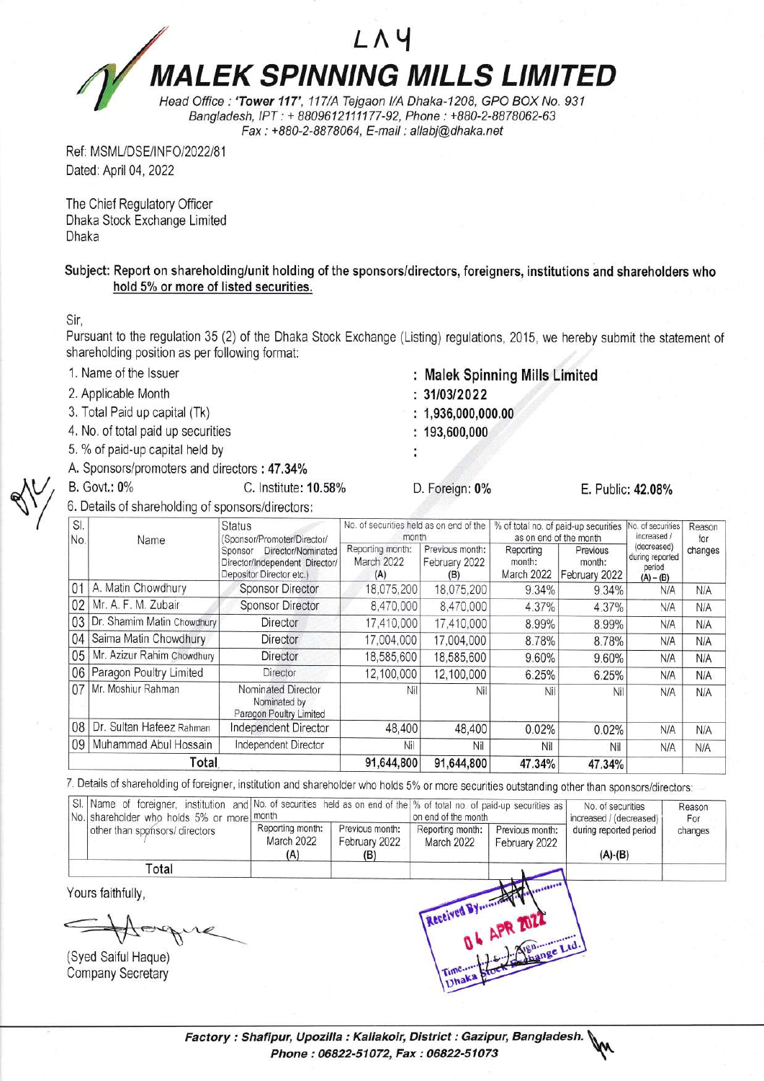LAY **MALEK SPINNING MILLS LIMITED** Head Office : 'Tower 117', 117/A Tejgaon I/A Dhaka-1208, GPO BOX No. 931

Bangladesh, IPT : + 8809612111177-92, Phone : +880-2-8878062-63 Fax : +BB0-2-BB7 8064, E-mail : allabi@dhaka. net

Ref: MSML/DSE/INFO/2022/81 Dated: April 04, 2022

The Chief Regulatory Officer Dhaka Stock Exchange Limited Dhaka

Subject: Report on shareholding/unit holding of the sponsors/directors, foreigners, institutions and shareholders who hold 5% or more of listed securities.

Sir,

v

Pursuant to the regulation 35 (2) of the Dhaka Stock Exchange (Listing) regulations, 2015, we hereby submit the statement of shareholding position as per following format:

- 1, Name of the lssuer
- 2, Applicable Month
- 3. Total Paid up capital (Tk)
- 4. No. of total paid up securities
- 5. % of paid-up capital held by
- A. Sponsors/promoters and directors : 47.34%
- B. Govt.: 0% C. lnstitute: 10.58%
- 6. Details of shareholding of sponsors/directors:
- Malek Spinning Mills Limited
- $: 31/03/2022$
- $: 1,936,000,000.00$
- $: 193,600,000$
- 
- D. Foreign: 0% E. Public: 42.08%

| SI.<br>No. | Name                       | <b>Status</b><br>(Sponsor/Promoter/Director/<br>Director/Nominated<br>Sponsor<br>Director/Independent Director/<br>Depositor Director etc.) | No. of securities held as on end of the<br>month |                                         | % of total no. of paid-up securities<br>as on end of the month |                                     | No. of securities<br>increased /                        | Reason<br>for |
|------------|----------------------------|---------------------------------------------------------------------------------------------------------------------------------------------|--------------------------------------------------|-----------------------------------------|----------------------------------------------------------------|-------------------------------------|---------------------------------------------------------|---------------|
|            |                            |                                                                                                                                             | Reporting month:<br>March 2022<br>(A)            | Previous month:<br>February 2022<br>(B) | Reporting<br>month:<br>March 2022                              | Previous<br>month:<br>February 2022 | (decreased)<br>during reported<br>period<br>$(A) - (B)$ | changes       |
| 01         | A. Matin Chowdhury         | <b>Sponsor Director</b>                                                                                                                     | 18,075,200                                       | 18,075,200                              | 9.34%                                                          | 9.34%                               | N/A                                                     | N/A           |
| 02         | Mr. A. F. M. Zubair        | <b>Sponsor Director</b>                                                                                                                     | 8.470,000                                        | 8,470,000                               | 4.37%                                                          | 4.37%                               | N/A                                                     | N/A           |
| 03         | Dr. Shamim Matin Chowdhury | Director                                                                                                                                    | 17,410,000                                       | 17,410,000                              | 8.99%                                                          | 8.99%                               | N/A                                                     | N/A           |
| 04         | Saima Matin Chowdhury      | <b>Director</b>                                                                                                                             | 17,004,000                                       | 17,004,000                              | 8.78%                                                          | 8.78%                               | N/A                                                     | N/A           |
| 05         | Mr. Azizur Rahim Chowdhury | Director                                                                                                                                    | 18,585,600                                       | 18,585,600                              | 9.60%                                                          | 9.60%                               | N/A                                                     | N/A           |
| 06         | Paragon Poultry Limited    | Director                                                                                                                                    | 12,100,000                                       | 12,100,000                              | 6.25%                                                          | 6.25%                               | N/A                                                     | N/A           |
| 07         | Mr. Moshiur Rahman         | Nominated Director<br>Nominated by<br>Paragon Poultry Limited                                                                               | Nil                                              | Nil                                     | Nil                                                            | Nil                                 | N/A                                                     | N/A           |
| 80         | Dr. Sultan Hafeez Rahman   | Independent Director                                                                                                                        | 48,400                                           | 48,400                                  | 0.02%                                                          | 0.02%                               | N/A                                                     | N/A           |
| 09         | Muhammad Abul Hossain      | Independent Director                                                                                                                        | Nil                                              | Nil                                     | Nil                                                            | Nil                                 | N/A                                                     | N/A           |
| Total      |                            |                                                                                                                                             | 91,644,800                                       | 91,644,800                              | 47.34%                                                         | 47.34%                              |                                                         |               |

7. Details of shareholding of foreigner, institution and shareholder who holds 5% or more securities outstanding other than sponsors/directors:

| No. shareholder who holds 5% or more month      | SI. Name of foreigner, institution and No. of securities held as on end of the % of total no. of paid-up securities as |                                         | on end of the month            |                                  | No. of securities<br>increased / (decreased) | Reason<br>For |
|-------------------------------------------------|------------------------------------------------------------------------------------------------------------------------|-----------------------------------------|--------------------------------|----------------------------------|----------------------------------------------|---------------|
| other than sponsors/ directors                  | Reporting month:<br>March 2022<br>(A)                                                                                  | Previous month:<br>February 2022<br>(B) | Reporting month:<br>March 2022 | Previous month:<br>February 2022 | during reported period<br>$(A)-(B)$          | changes       |
| Total                                           |                                                                                                                        |                                         |                                |                                  |                                              |               |
| Yours faithfully,                               |                                                                                                                        |                                         |                                |                                  |                                              |               |
| (Syed Saiful Haque)<br><b>Company Secretary</b> |                                                                                                                        |                                         |                                |                                  |                                              |               |

Factory : Shafipur, Upozilla : Kaliakoir, District : Gazipur, Bangladesh. Phone: 06822-51072, Fax: 06822-51073